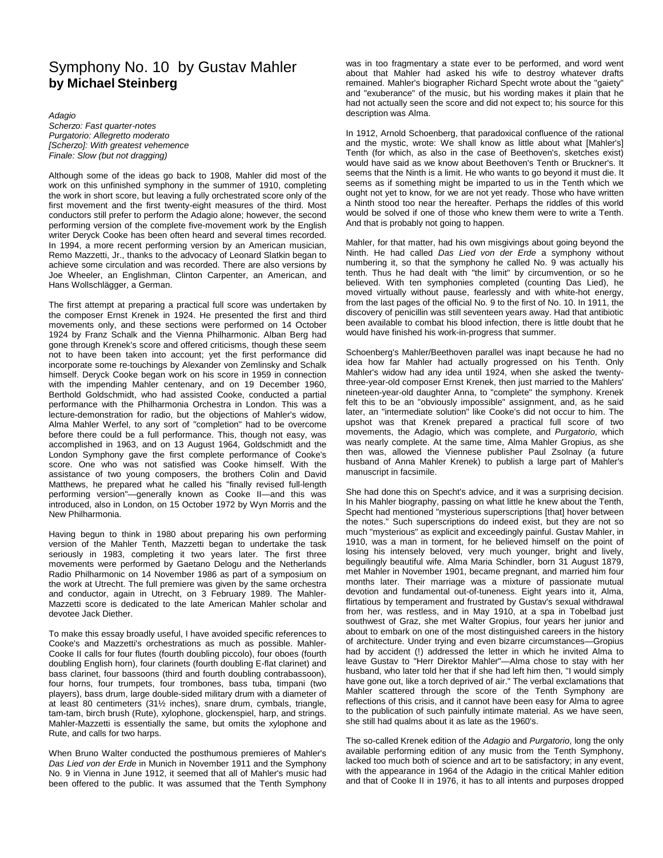## Symphony No. 10 by Gustav Mahler **by Michael Steinberg**

*Adagio Scherzo: Fast quarter-notes Purgatorio: Allegretto moderato [Scherzo]: With greatest vehemence Finale: Slow (but not dragging)*

Although some of the ideas go back to 1908, Mahler did most of the work on this unfinished symphony in the summer of 1910, completing the work in short score, but leaving a fully orchestrated score only of the first movement and the first twenty-eight measures of the third. Most conductors still prefer to perform the Adagio alone; however, the second performing version of the complete five-movement work by the English writer Deryck Cooke has been often heard and several times recorded. In 1994, a more recent performing version by an American musician, Remo Mazzetti, Jr., thanks to the advocacy of Leonard Slatkin began to achieve some circulation and was recorded. There are also versions by Joe Wheeler, an Englishman, Clinton Carpenter, an American, and Hans Wollschlägger, a German.

The first attempt at preparing a practical full score was undertaken by the composer Ernst Krenek in 1924. He presented the first and third movements only, and these sections were performed on 14 October 1924 by Franz Schalk and the Vienna Philharmonic. Alban Berg had gone through Krenek's score and offered criticisms, though these seem not to have been taken into account; yet the first performance did incorporate some re-touchings by Alexander von Zemlinsky and Schalk himself. Deryck Cooke began work on his score in 1959 in connection with the impending Mahler centenary, and on 19 December 1960, Berthold Goldschmidt, who had assisted Cooke, conducted a partial performance with the Philharmonia Orchestra in London. This was a lecture-demonstration for radio, but the objections of Mahler's widow, Alma Mahler Werfel, to any sort of "completion" had to be overcome before there could be a full performance. This, though not easy, was accomplished in 1963, and on 13 August 1964, Goldschmidt and the London Symphony gave the first complete performance of Cooke's score. One who was not satisfied was Cooke himself. With the assistance of two young composers, the brothers Colin and David Matthews, he prepared what he called his "finally revised full-length performing version"—generally known as Cooke II—and this was introduced, also in London, on 15 October 1972 by Wyn Morris and the New Philharmonia.

Having begun to think in 1980 about preparing his own performing version of the Mahler Tenth, Mazzetti began to undertake the task seriously in 1983, completing it two years later. The first three movements were performed by Gaetano Delogu and the Netherlands Radio Philharmonic on 14 November 1986 as part of a symposium on the work at Utrecht. The full premiere was given by the same orchestra and conductor, again in Utrecht, on 3 February 1989. The Mahler-Mazzetti score is dedicated to the late American Mahler scholar and devotee Jack Diether.

To make this essay broadly useful, I have avoided specific references to Cooke's and Mazzetti's orchestrations as much as possible. Mahler-Cooke II calls for four flutes (fourth doubling piccolo), four oboes (fourth doubling English horn), four clarinets (fourth doubling E-flat clarinet) and bass clarinet, four bassoons (third and fourth doubling contrabassoon), four horns, four trumpets, four trombones, bass tuba, timpani (two players), bass drum, large double-sided military drum with a diameter of at least 80 centimeters (31½ inches), snare drum, cymbals, triangle, tam-tam, birch brush (Rute), xylophone, glockenspiel, harp, and strings. Mahler-Mazzetti is essentially the same, but omits the xylophone and Rute, and calls for two harps.

When Bruno Walter conducted the posthumous premieres of Mahler's *Das Lied von der Erde* in Munich in November 1911 and the Symphony No. 9 in Vienna in June 1912, it seemed that all of Mahler's music had been offered to the public. It was assumed that the Tenth Symphony

was in too fragmentary a state ever to be performed, and word went about that Mahler had asked his wife to destroy whatever drafts remained. Mahler's biographer Richard Specht wrote about the "gaiety" and "exuberance" of the music, but his wording makes it plain that he had not actually seen the score and did not expect to; his source for this description was Alma.

In 1912, Arnold Schoenberg, that paradoxical confluence of the rational and the mystic, wrote: We shall know as little about what [Mahler's] Tenth (for which, as also in the case of Beethoven's, sketches exist) would have said as we know about Beethoven's Tenth or Bruckner's. It seems that the Ninth is a limit. He who wants to go beyond it must die. It seems as if something might be imparted to us in the Tenth which we ought not yet to know, for we are not yet ready. Those who have written a Ninth stood too near the hereafter. Perhaps the riddles of this world would be solved if one of those who knew them were to write a Tenth. And that is probably not going to happen.

Mahler, for that matter, had his own misgivings about going beyond the Ninth. He had called *Das Lied von der Erde* a symphony without numbering it, so that the symphony he called No. 9 was actually his tenth. Thus he had dealt with "the limit" by circumvention, or so he believed. With ten symphonies completed (counting Das Lied), he moved virtually without pause, fearlessly and with white-hot energy, from the last pages of the official No. 9 to the first of No. 10. In 1911, the discovery of penicillin was still seventeen years away. Had that antibiotic been available to combat his blood infection, there is little doubt that he would have finished his work-in-progress that summer.

Schoenberg's Mahler/Beethoven parallel was inapt because he had no idea how far Mahler had actually progressed on his Tenth. Only Mahler's widow had any idea until 1924, when she asked the twentythree-year-old composer Ernst Krenek, then just married to the Mahlers' nineteen-year-old daughter Anna, to "complete" the symphony. Krenek felt this to be an "obviously impossible" assignment, and, as he said later, an "intermediate solution" like Cooke's did not occur to him. The upshot was that Krenek prepared a practical full score of two movements, the Adagio, which was complete, and *Purgatorio*, which was nearly complete. At the same time, Alma Mahler Gropius, as she then was, allowed the Viennese publisher Paul Zsolnay (a future husband of Anna Mahler Krenek) to publish a large part of Mahler's manuscript in facsimile.

She had done this on Specht's advice, and it was a surprising decision. In his Mahler biography, passing on what little he knew about the Tenth, Specht had mentioned "mysterious superscriptions [that] hover between the notes." Such superscriptions do indeed exist, but they are not so much "mysterious" as explicit and exceedingly painful. Gustav Mahler, in 1910, was a man in torment, for he believed himself on the point of losing his intensely beloved, very much younger, bright and lively, beguilingly beautiful wife. Alma Maria Schindler, born 31 August 1879, met Mahler in November 1901, became pregnant, and married him four months later. Their marriage was a mixture of passionate mutual devotion and fundamental out-of-tuneness. Eight years into it, Alma, flirtatious by temperament and frustrated by Gustav's sexual withdrawal from her, was restless, and in May 1910, at a spa in Tobelbad just southwest of Graz, she met Walter Gropius, four years her junior and about to embark on one of the most distinguished careers in the history of architecture. Under trying and even bizarre circumstances—Gropius had by accident (!) addressed the letter in which he invited Alma to leave Gustav to "Herr Direktor Mahler"—Alma chose to stay with her husband, who later told her that if she had left him then, "I would simply have gone out, like a torch deprived of air." The verbal exclamations that Mahler scattered through the score of the Tenth Symphony are reflections of this crisis, and it cannot have been easy for Alma to agree to the publication of such painfully intimate material. As we have seen, she still had qualms about it as late as the 1960's.

The so-called Krenek edition of the *Adagio* and *Purgatorio*, long the only available performing edition of any music from the Tenth Symphony, lacked too much both of science and art to be satisfactory; in any event, with the appearance in 1964 of the Adagio in the critical Mahler edition and that of Cooke II in 1976, it has to all intents and purposes dropped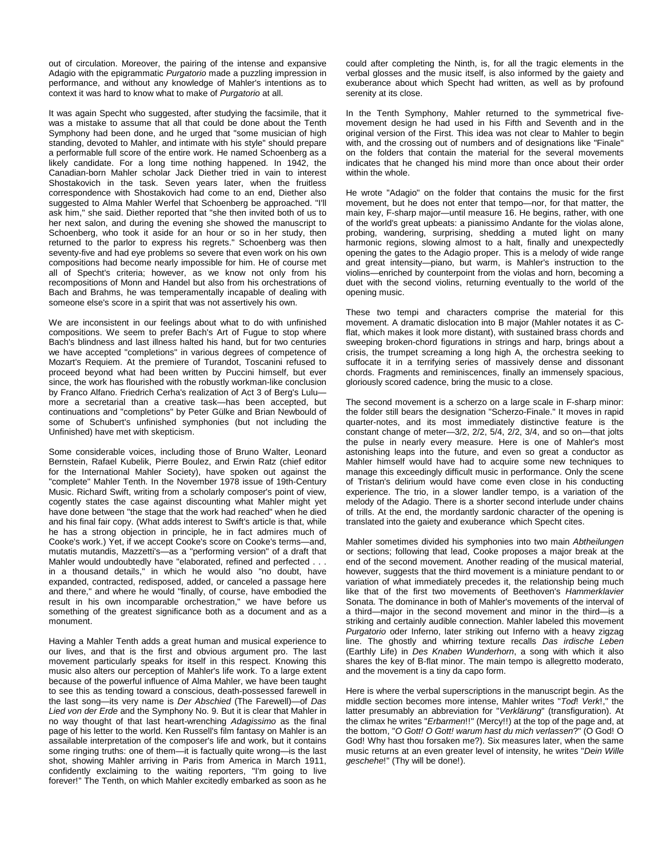out of circulation. Moreover, the pairing of the intense and expansive Adagio with the epigrammatic *Purgatorio* made a puzzling impression in performance, and without any knowledge of Mahler's intentions as to context it was hard to know what to make of *Purgatorio* at all.

It was again Specht who suggested, after studying the facsimile, that it was a mistake to assume that all that could be done about the Tenth Symphony had been done, and he urged that "some musician of high standing, devoted to Mahler, and intimate with his style" should prepare a performable full score of the entire work. He named Schoenberg as a likely candidate. For a long time nothing happened. In 1942, the Canadian-born Mahler scholar Jack Diether tried in vain to interest Shostakovich in the task. Seven years later, when the fruitless correspondence with Shostakovich had come to an end, Diether also suggested to Alma Mahler Werfel that Schoenberg be approached. "I'll ask him," she said. Diether reported that "she then invited both of us to her next salon, and during the evening she showed the manuscript to Schoenberg, who took it aside for an hour or so in her study, then returned to the parlor to express his regrets." Schoenberg was then seventy-five and had eye problems so severe that even work on his own compositions had become nearly impossible for him. He of course met all of Specht's criteria; however, as we know not only from his recompositions of Monn and Handel but also from his orchestrations of Bach and Brahms, he was temperamentally incapable of dealing with someone else's score in a spirit that was not assertively his own.

We are inconsistent in our feelings about what to do with unfinished compositions. We seem to prefer Bach's Art of Fugue to stop where Bach's blindness and last illness halted his hand, but for two centuries we have accepted "completions" in various degrees of competence of Mozart's Requiem. At the premiere of Turandot, Toscanini refused to proceed beyond what had been written by Puccini himself, but ever since, the work has flourished with the robustly workman-like conclusion by Franco Alfano. Friedrich Cerha's realization of Act 3 of Berg's Lulu more a secretarial than a creative task—has been accepted, but continuations and "completions" by Peter Gülke and Brian Newbould of some of Schubert's unfinished symphonies (but not including the Unfinished) have met with skepticism.

Some considerable voices, including those of Bruno Walter, Leonard Bernstein, Rafael Kubelik, Pierre Boulez, and Erwin Ratz (chief editor for the International Mahler Society), have spoken out against the "complete" Mahler Tenth. In the November 1978 issue of 19th-Century Music. Richard Swift, writing from a scholarly composer's point of view, cogently states the case against discounting what Mahler might yet have done between "the stage that the work had reached" when he died and his final fair copy. (What adds interest to Swift's article is that, while he has a strong objection in principle, he in fact admires much of Cooke's work.) Yet, if we accept Cooke's score on Cooke's terms—and, mutatis mutandis, Mazzetti's—as a "performing version" of a draft that Mahler would undoubtedly have "elaborated, refined and perfected . . . in a thousand details," in which he would also "no doubt, have expanded, contracted, redisposed, added, or canceled a passage here and there," and where he would "finally, of course, have embodied the result in his own incomparable orchestration," we have before us something of the greatest significance both as a document and as a monument.

Having a Mahler Tenth adds a great human and musical experience to our lives, and that is the first and obvious argument pro. The last movement particularly speaks for itself in this respect. Knowing this music also alters our perception of Mahler's life work. To a large extent because of the powerful influence of Alma Mahler, we have been taught to see this as tending toward a conscious, death-possessed farewell in the last song—its very name is *Der Abschied* (The Farewell)—of *Das Lied von der Erde* and the Symphony No. 9. But it is clear that Mahler in no way thought of that last heart-wrenching *Adagissimo* as the final page of his letter to the world. Ken Russell's film fantasy on Mahler is an assailable interpretation of the composer's life and work, but it contains some ringing truths: one of them—it is factually quite wrong—is the last shot, showing Mahler arriving in Paris from America in March 1911, confidently exclaiming to the waiting reporters, "I'm going to live forever!" The Tenth, on which Mahler excitedly embarked as soon as he

could after completing the Ninth, is, for all the tragic elements in the verbal glosses and the music itself, is also informed by the gaiety and exuberance about which Specht had written, as well as by profound serenity at its close.

In the Tenth Symphony, Mahler returned to the symmetrical fivemovement design he had used in his Fifth and Seventh and in the original version of the First. This idea was not clear to Mahler to begin with, and the crossing out of numbers and of designations like "Finale" on the folders that contain the material for the several movements indicates that he changed his mind more than once about their order within the whole.

He wrote "Adagio" on the folder that contains the music for the first movement, but he does not enter that tempo—nor, for that matter, the main key, F-sharp major—until measure 16. He begins, rather, with one of the world's great upbeats: a pianissimo Andante for the violas alone, probing, wandering, surprising, shedding a muted light on many harmonic regions, slowing almost to a halt, finally and unexpectedly opening the gates to the Adagio proper. This is a melody of wide range and great intensity—piano, but warm, is Mahler's instruction to the violins—enriched by counterpoint from the violas and horn, becoming a duet with the second violins, returning eventually to the world of the opening music.

These two tempi and characters comprise the material for this movement. A dramatic dislocation into B major (Mahler notates it as Cflat, which makes it look more distant), with sustained brass chords and sweeping broken-chord figurations in strings and harp, brings about a crisis, the trumpet screaming a long high A, the orchestra seeking to suffocate it in a terrifying series of massively dense and dissonant chords. Fragments and reminiscences, finally an immensely spacious, gloriously scored cadence, bring the music to a close.

The second movement is a scherzo on a large scale in F-sharp minor: the folder still bears the designation "Scherzo-Finale." It moves in rapid quarter-notes, and its most immediately distinctive feature is the constant change of meter—3/2, 2/2, 5/4, 2/2, 3/4, and so on—that jolts the pulse in nearly every measure. Here is one of Mahler's most astonishing leaps into the future, and even so great a conductor as Mahler himself would have had to acquire some new techniques to manage this exceedingly difficult music in performance. Only the scene of Tristan's delirium would have come even close in his conducting experience. The trio, in a slower landler tempo, is a variation of the melody of the Adagio. There is a shorter second interlude under chains of trills. At the end, the mordantly sardonic character of the opening is translated into the gaiety and exuberance which Specht cites.

Mahler sometimes divided his symphonies into two main *Abtheilungen*  or sections; following that lead, Cooke proposes a major break at the end of the second movement. Another reading of the musical material, however, suggests that the third movement is a miniature pendant to or variation of what immediately precedes it, the relationship being much like that of the first two movements of Beethoven's *Hammerklavier*  Sonata. The dominance in both of Mahler's movements of the interval of a third—major in the second movement and minor in the third—is a striking and certainly audible connection. Mahler labeled this movement *Purgatorio* oder Inferno, later striking out Inferno with a heavy zigzag line. The ghostly and whirring texture recalls *Das irdische Leben* (Earthly Life) in *Des Knaben Wunderhorn*, a song with which it also shares the key of B-flat minor. The main tempo is allegretto moderato, and the movement is a tiny da capo form.

Here is where the verbal superscriptions in the manuscript begin. As the middle section becomes more intense, Mahler writes "*Tod*! *Verk*!," the latter presumably an abbreviation for "*Verklärung*" (transfiguration). At the climax he writes "*Erbarmen*!!" (Mercy!!) at the top of the page and, at the bottom, "*O Gott! O Gott! warum hast du mich verlassen*?" (O God! O God! Why hast thou forsaken me?). Six measures later, when the same music returns at an even greater level of intensity, he writes "*Dein Wille geschehe*!" (Thy will be done!).